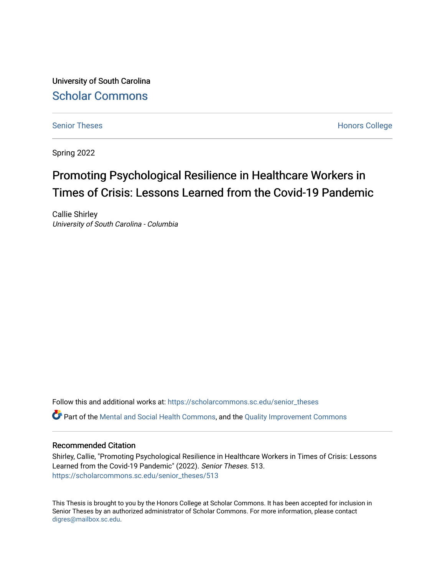University of South Carolina [Scholar Commons](https://scholarcommons.sc.edu/) 

[Senior Theses](https://scholarcommons.sc.edu/senior_theses) **Honors College** Honors College

Spring 2022

# Promoting Psychological Resilience in Healthcare Workers in Times of Crisis: Lessons Learned from the Covid-19 Pandemic

Callie Shirley University of South Carolina - Columbia

Follow this and additional works at: [https://scholarcommons.sc.edu/senior\\_theses](https://scholarcommons.sc.edu/senior_theses?utm_source=scholarcommons.sc.edu%2Fsenior_theses%2F513&utm_medium=PDF&utm_campaign=PDFCoverPages)  Part of the [Mental and Social Health Commons,](http://network.bepress.com/hgg/discipline/709?utm_source=scholarcommons.sc.edu%2Fsenior_theses%2F513&utm_medium=PDF&utm_campaign=PDFCoverPages) and the [Quality Improvement Commons](http://network.bepress.com/hgg/discipline/1430?utm_source=scholarcommons.sc.edu%2Fsenior_theses%2F513&utm_medium=PDF&utm_campaign=PDFCoverPages) 

### Recommended Citation

Shirley, Callie, "Promoting Psychological Resilience in Healthcare Workers in Times of Crisis: Lessons Learned from the Covid-19 Pandemic" (2022). Senior Theses. 513. [https://scholarcommons.sc.edu/senior\\_theses/513](https://scholarcommons.sc.edu/senior_theses/513?utm_source=scholarcommons.sc.edu%2Fsenior_theses%2F513&utm_medium=PDF&utm_campaign=PDFCoverPages) 

This Thesis is brought to you by the Honors College at Scholar Commons. It has been accepted for inclusion in Senior Theses by an authorized administrator of Scholar Commons. For more information, please contact [digres@mailbox.sc.edu](mailto:digres@mailbox.sc.edu).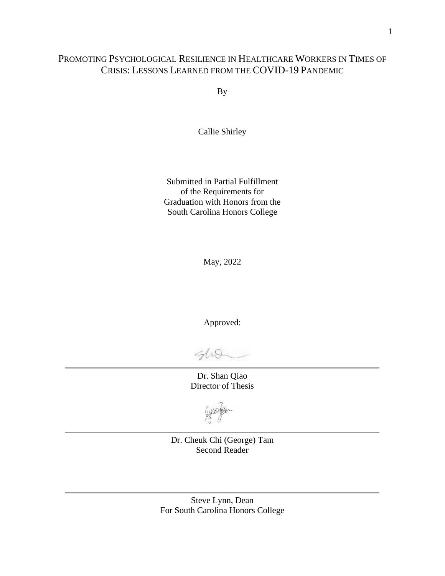# PROMOTING PSYCHOLOGICAL RESILIENCE IN HEALTHCARE WORKERS IN TIMES OF CRISIS: LESSONS LEARNED FROM THE COVID-19 PANDEMIC

By

Callie Shirley

Submitted in Partial Fulfillment of the Requirements for Graduation with Honors from the South Carolina Honors College

May, 2022

Approved:

 $400$ 

Dr. Shan Qiao Director of Thesis

Dr. Cheuk Chi (George) Tam Second Reader

Steve Lynn, Dean For South Carolina Honors College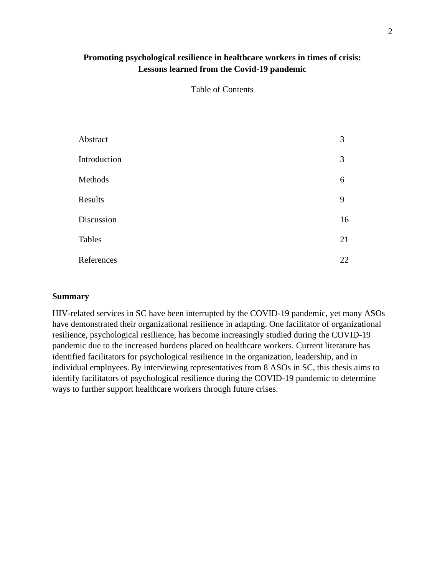# **Promoting psychological resilience in healthcare workers in times of crisis: Lessons learned from the Covid-19 pandemic**

Table of Contents

| Abstract     | 3  |
|--------------|----|
| Introduction | 3  |
| Methods      | 6  |
| Results      | 9  |
| Discussion   | 16 |
| Tables       | 21 |
| References   | 22 |

#### **Summary**

HIV-related services in SC have been interrupted by the COVID-19 pandemic, yet many ASOs have demonstrated their organizational resilience in adapting. One facilitator of organizational resilience, psychological resilience, has become increasingly studied during the COVID-19 pandemic due to the increased burdens placed on healthcare workers. Current literature has identified facilitators for psychological resilience in the organization, leadership, and in individual employees. By interviewing representatives from 8 ASOs in SC, this thesis aims to identify facilitators of psychological resilience during the COVID-19 pandemic to determine ways to further support healthcare workers through future crises.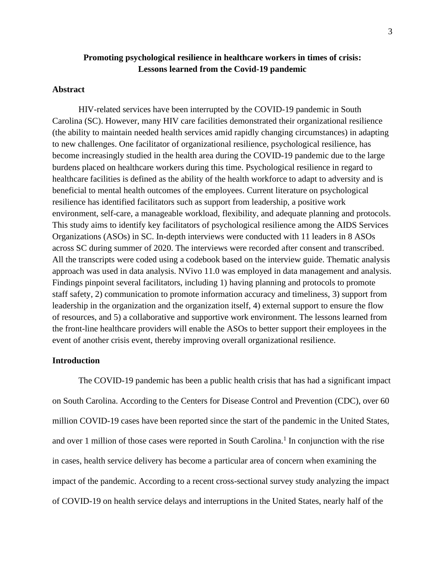## **Promoting psychological resilience in healthcare workers in times of crisis: Lessons learned from the Covid-19 pandemic**

#### **Abstract**

HIV-related services have been interrupted by the COVID-19 pandemic in South Carolina (SC). However, many HIV care facilities demonstrated their organizational resilience (the ability to maintain needed health services amid rapidly changing circumstances) in adapting to new challenges. One facilitator of organizational resilience, psychological resilience, has become increasingly studied in the health area during the COVID-19 pandemic due to the large burdens placed on healthcare workers during this time. Psychological resilience in regard to healthcare facilities is defined as the ability of the health workforce to adapt to adversity and is beneficial to mental health outcomes of the employees. Current literature on psychological resilience has identified facilitators such as support from leadership, a positive work environment, self-care, a manageable workload, flexibility, and adequate planning and protocols. This study aims to identify key facilitators of psychological resilience among the AIDS Services Organizations (ASOs) in SC. In-depth interviews were conducted with 11 leaders in 8 ASOs across SC during summer of 2020. The interviews were recorded after consent and transcribed. All the transcripts were coded using a codebook based on the interview guide. Thematic analysis approach was used in data analysis. NVivo 11.0 was employed in data management and analysis. Findings pinpoint several facilitators, including 1) having planning and protocols to promote staff safety, 2) communication to promote information accuracy and timeliness, 3) support from leadership in the organization and the organization itself, 4) external support to ensure the flow of resources, and 5) a collaborative and supportive work environment. The lessons learned from the front-line healthcare providers will enable the ASOs to better support their employees in the event of another crisis event, thereby improving overall organizational resilience.

### **Introduction**

The COVID-19 pandemic has been a public health crisis that has had a significant impact on South Carolina. According to the Centers for Disease Control and Prevention (CDC), over 60 million COVID-19 cases have been reported since the start of the pandemic in the United States, and over 1 million of those cases were reported in South Carolina.<sup>1</sup> In conjunction with the rise in cases, health service delivery has become a particular area of concern when examining the impact of the pandemic. According to a recent cross-sectional survey study analyzing the impact of COVID-19 on health service delays and interruptions in the United States, nearly half of the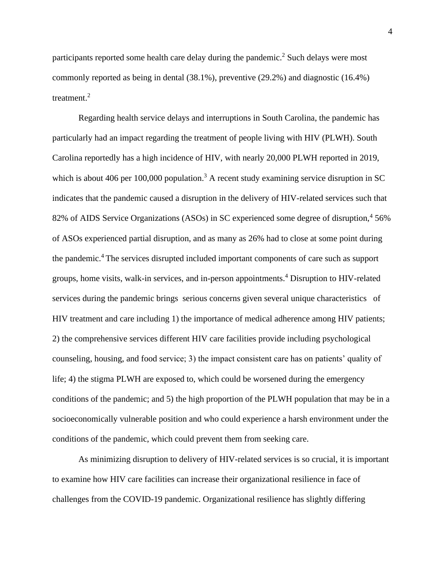participants reported some health care delay during the pandemic.<sup>2</sup> Such delays were most commonly reported as being in dental (38.1%), preventive (29.2%) and diagnostic (16.4%) treatment. 2

Regarding health service delays and interruptions in South Carolina, the pandemic has particularly had an impact regarding the treatment of people living with HIV (PLWH). South Carolina reportedly has a high incidence of HIV, with nearly 20,000 PLWH reported in 2019, which is about 406 per 100,000 population.<sup>3</sup> A recent study examining service disruption in SC indicates that the pandemic caused a disruption in the delivery of HIV-related services such that 82% of AIDS Service Organizations (ASOs) in SC experienced some degree of disruption,<sup>4</sup> 56% of ASOs experienced partial disruption, and as many as 26% had to close at some point during the pandemic.<sup>4</sup> The services disrupted included important components of care such as support groups, home visits, walk-in services, and in-person appointments.<sup>4</sup> Disruption to HIV-related services during the pandemic brings serious concerns given several unique characteristics of HIV treatment and care including 1) the importance of medical adherence among HIV patients; 2) the comprehensive services different HIV care facilities provide including psychological counseling, housing, and food service; 3) the impact consistent care has on patients' quality of life; 4) the stigma PLWH are exposed to, which could be worsened during the emergency conditions of the pandemic; and 5) the high proportion of the PLWH population that may be in a socioeconomically vulnerable position and who could experience a harsh environment under the conditions of the pandemic, which could prevent them from seeking care.

As minimizing disruption to delivery of HIV-related services is so crucial, it is important to examine how HIV care facilities can increase their organizational resilience in face of challenges from the COVID-19 pandemic. Organizational resilience has slightly differing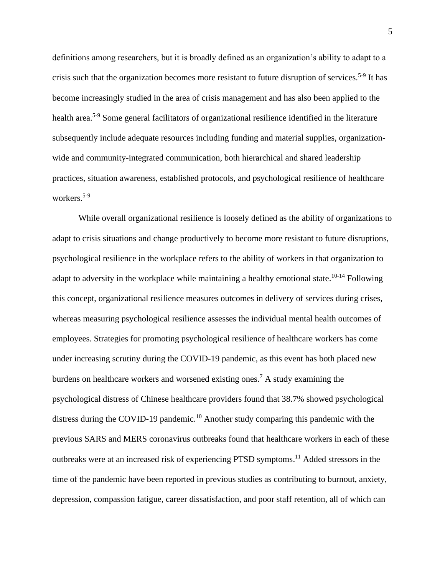definitions among researchers, but it is broadly defined as an organization's ability to adapt to a crisis such that the organization becomes more resistant to future disruption of services.<sup>5-9</sup> It has become increasingly studied in the area of crisis management and has also been applied to the health area.5-9 Some general facilitators of organizational resilience identified in the literature subsequently include adequate resources including funding and material supplies, organizationwide and community-integrated communication, both hierarchical and shared leadership practices, situation awareness, established protocols, and psychological resilience of healthcare workers. 5-9

While overall organizational resilience is loosely defined as the ability of organizations to adapt to crisis situations and change productively to become more resistant to future disruptions, psychological resilience in the workplace refers to the ability of workers in that organization to adapt to adversity in the workplace while maintaining a healthy emotional state.<sup>10-14</sup> Following this concept, organizational resilience measures outcomes in delivery of services during crises, whereas measuring psychological resilience assesses the individual mental health outcomes of employees. Strategies for promoting psychological resilience of healthcare workers has come under increasing scrutiny during the COVID-19 pandemic, as this event has both placed new burdens on healthcare workers and worsened existing ones.<sup>7</sup> A study examining the psychological distress of Chinese healthcare providers found that 38.7% showed psychological distress during the COVID-19 pandemic.<sup>10</sup> Another study comparing this pandemic with the previous SARS and MERS coronavirus outbreaks found that healthcare workers in each of these outbreaks were at an increased risk of experiencing PTSD symptoms.<sup>11</sup> Added stressors in the time of the pandemic have been reported in previous studies as contributing to burnout, anxiety, depression, compassion fatigue, career dissatisfaction, and poor staff retention, all of which can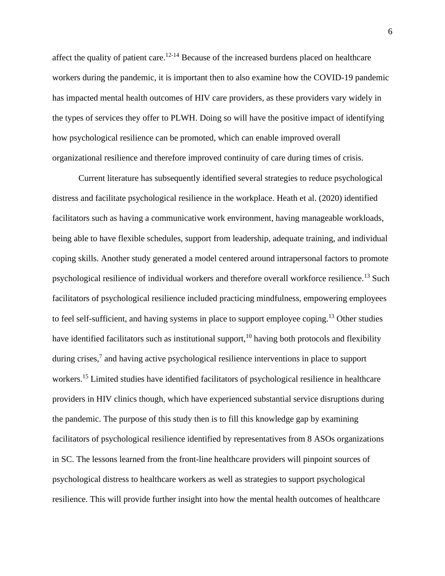affect the quality of patient care.<sup>12-14</sup> Because of the increased burdens placed on healthcare workers during the pandemic, it is important then to also examine how the COVID-19 pandemic has impacted mental health outcomes of HIV care providers, as these providers vary widely in the types of services they offer to PLWH. Doing so will have the positive impact of identifying how psychological resilience can be promoted, which can enable improved overall organizational resilience and therefore improved continuity of care during times of crisis.

Current literature has subsequently identified several strategies to reduce psychological distress and facilitate psychological resilience in the workplace. Heath et al. (2020) identified facilitators such as having a communicative work environment, having manageable workloads, being able to have flexible schedules, support from leadership, adequate training, and individual coping skills. Another study generated a model centered around intrapersonal factors to promote psychological resilience of individual workers and therefore overall workforce resilience.<sup>13</sup> Such facilitators of psychological resilience included practicing mindfulness, empowering employees to feel self-sufficient, and having systems in place to support employee coping.<sup>13</sup> Other studies have identified facilitators such as institutional support,<sup>10</sup> having both protocols and flexibility during crises,<sup>7</sup> and having active psychological resilience interventions in place to support workers.<sup>15</sup> Limited studies have identified facilitators of psychological resilience in healthcare providers in HIV clinics though, which have experienced substantial service disruptions during the pandemic. The purpose of this study then is to fill this knowledge gap by examining facilitators of psychological resilience identified by representatives from 8 ASOs organizations in SC. The lessons learned from the front-line healthcare providers will pinpoint sources of psychological distress to healthcare workers as well as strategies to support psychological resilience. This will provide further insight into how the mental health outcomes of healthcare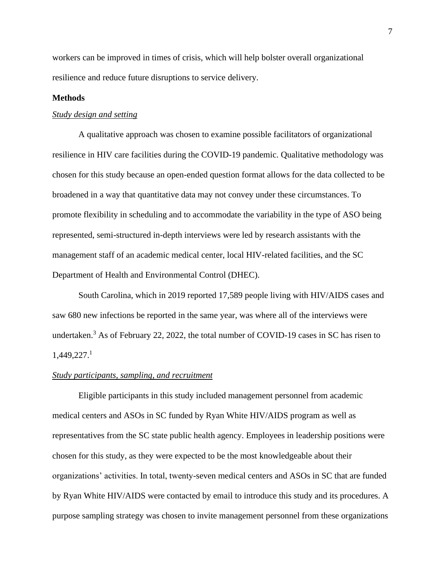workers can be improved in times of crisis, which will help bolster overall organizational resilience and reduce future disruptions to service delivery.

#### **Methods**

#### *Study design and setting*

A qualitative approach was chosen to examine possible facilitators of organizational resilience in HIV care facilities during the COVID-19 pandemic. Qualitative methodology was chosen for this study because an open-ended question format allows for the data collected to be broadened in a way that quantitative data may not convey under these circumstances. To promote flexibility in scheduling and to accommodate the variability in the type of ASO being represented, semi-structured in-depth interviews were led by research assistants with the management staff of an academic medical center, local HIV-related facilities, and the SC Department of Health and Environmental Control (DHEC).

South Carolina, which in 2019 reported 17,589 people living with HIV/AIDS cases and saw 680 new infections be reported in the same year, was where all of the interviews were undertaken.<sup>3</sup> As of February 22, 2022, the total number of COVID-19 cases in SC has risen to 1,449,227. 1

#### *Study participants, sampling, and recruitment*

Eligible participants in this study included management personnel from academic medical centers and ASOs in SC funded by Ryan White HIV/AIDS program as well as representatives from the SC state public health agency. Employees in leadership positions were chosen for this study, as they were expected to be the most knowledgeable about their organizations' activities. In total, twenty-seven medical centers and ASOs in SC that are funded by Ryan White HIV/AIDS were contacted by email to introduce this study and its procedures. A purpose sampling strategy was chosen to invite management personnel from these organizations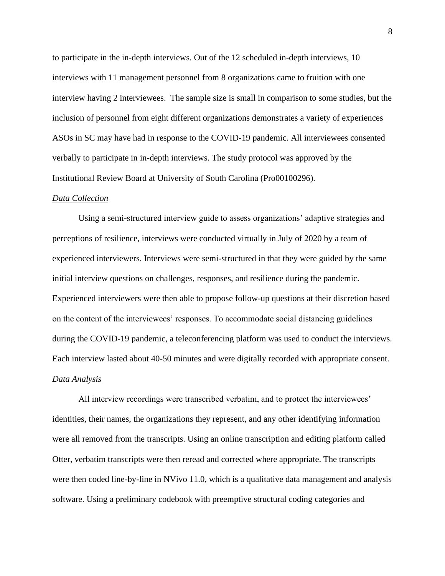to participate in the in-depth interviews. Out of the 12 scheduled in-depth interviews, 10 interviews with 11 management personnel from 8 organizations came to fruition with one interview having 2 interviewees. The sample size is small in comparison to some studies, but the inclusion of personnel from eight different organizations demonstrates a variety of experiences ASOs in SC may have had in response to the COVID-19 pandemic. All interviewees consented verbally to participate in in-depth interviews. The study protocol was approved by the Institutional Review Board at University of South Carolina (Pro00100296).

#### *Data Collection*

Using a semi-structured interview guide to assess organizations' adaptive strategies and perceptions of resilience, interviews were conducted virtually in July of 2020 by a team of experienced interviewers. Interviews were semi-structured in that they were guided by the same initial interview questions on challenges, responses, and resilience during the pandemic. Experienced interviewers were then able to propose follow-up questions at their discretion based on the content of the interviewees' responses. To accommodate social distancing guidelines during the COVID-19 pandemic, a teleconferencing platform was used to conduct the interviews. Each interview lasted about 40-50 minutes and were digitally recorded with appropriate consent. *Data Analysis*

All interview recordings were transcribed verbatim, and to protect the interviewees' identities, their names, the organizations they represent, and any other identifying information were all removed from the transcripts. Using an online transcription and editing platform called Otter, verbatim transcripts were then reread and corrected where appropriate. The transcripts were then coded line-by-line in NVivo 11.0, which is a qualitative data management and analysis software. Using a preliminary codebook with preemptive structural coding categories and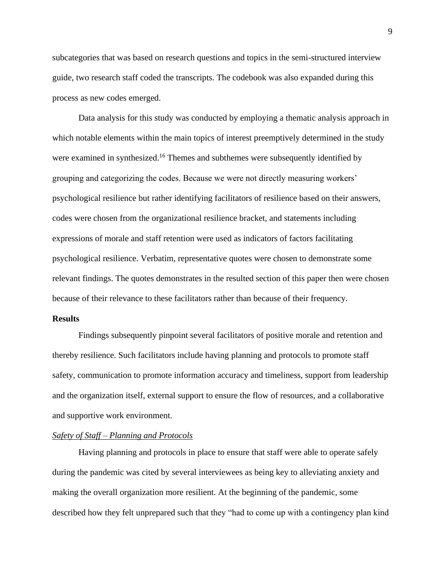subcategories that was based on research questions and topics in the semi-structured interview guide, two research staff coded the transcripts. The codebook was also expanded during this process as new codes emerged.

Data analysis for this study was conducted by employing a thematic analysis approach in which notable elements within the main topics of interest preemptively determined in the study were examined in synthesized.<sup>16</sup> Themes and subthemes were subsequently identified by grouping and categorizing the codes. Because we were not directly measuring workers' psychological resilience but rather identifying facilitators of resilience based on their answers, codes were chosen from the organizational resilience bracket, and statements including expressions of morale and staff retention were used as indicators of factors facilitating psychological resilience. Verbatim, representative quotes were chosen to demonstrate some relevant findings. The quotes demonstrates in the resulted section of this paper then were chosen because of their relevance to these facilitators rather than because of their frequency.

#### **Results**

Findings subsequently pinpoint several facilitators of positive morale and retention and thereby resilience. Such facilitators include having planning and protocols to promote staff safety, communication to promote information accuracy and timeliness, support from leadership and the organization itself, external support to ensure the flow of resources, and a collaborative and supportive work environment.

#### *Safety of Staff – Planning and Protocols*

Having planning and protocols in place to ensure that staff were able to operate safely during the pandemic was cited by several interviewees as being key to alleviating anxiety and making the overall organization more resilient. At the beginning of the pandemic, some described how they felt unprepared such that they "had to come up with a contingency plan kind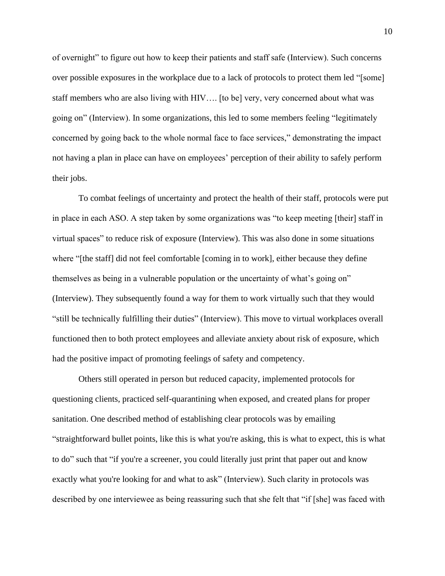of overnight" to figure out how to keep their patients and staff safe (Interview). Such concerns over possible exposures in the workplace due to a lack of protocols to protect them led "[some] staff members who are also living with HIV…. [to be] very, very concerned about what was going on" (Interview). In some organizations, this led to some members feeling "legitimately concerned by going back to the whole normal face to face services," demonstrating the impact not having a plan in place can have on employees' perception of their ability to safely perform their jobs.

To combat feelings of uncertainty and protect the health of their staff, protocols were put in place in each ASO. A step taken by some organizations was "to keep meeting [their] staff in virtual spaces" to reduce risk of exposure (Interview). This was also done in some situations where "[the staff] did not feel comfortable [coming in to work], either because they define themselves as being in a vulnerable population or the uncertainty of what's going on" (Interview). They subsequently found a way for them to work virtually such that they would "still be technically fulfilling their duties" (Interview). This move to virtual workplaces overall functioned then to both protect employees and alleviate anxiety about risk of exposure, which had the positive impact of promoting feelings of safety and competency.

Others still operated in person but reduced capacity, implemented protocols for questioning clients, practiced self-quarantining when exposed, and created plans for proper sanitation. One described method of establishing clear protocols was by emailing "straightforward bullet points, like this is what you're asking, this is what to expect, this is what to do" such that "if you're a screener, you could literally just print that paper out and know exactly what you're looking for and what to ask" (Interview). Such clarity in protocols was described by one interviewee as being reassuring such that she felt that "if [she] was faced with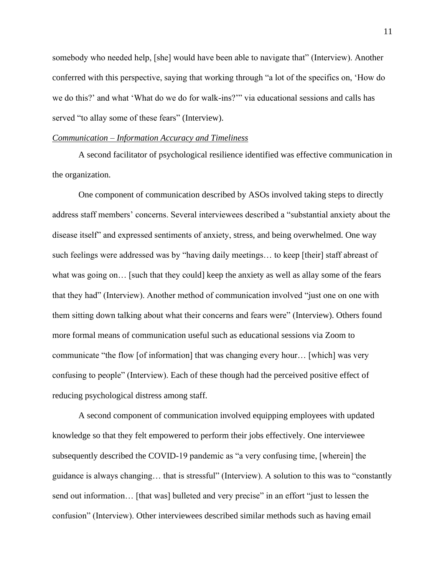somebody who needed help, [she] would have been able to navigate that" (Interview). Another conferred with this perspective, saying that working through "a lot of the specifics on, 'How do we do this?' and what 'What do we do for walk-ins?'" via educational sessions and calls has served "to allay some of these fears" (Interview).

#### *Communication – Information Accuracy and Timeliness*

A second facilitator of psychological resilience identified was effective communication in the organization.

One component of communication described by ASOs involved taking steps to directly address staff members' concerns. Several interviewees described a "substantial anxiety about the disease itself" and expressed sentiments of anxiety, stress, and being overwhelmed. One way such feelings were addressed was by "having daily meetings… to keep [their] staff abreast of what was going on... [such that they could] keep the anxiety as well as allay some of the fears that they had" (Interview). Another method of communication involved "just one on one with them sitting down talking about what their concerns and fears were" (Interview). Others found more formal means of communication useful such as educational sessions via Zoom to communicate "the flow [of information] that was changing every hour… [which] was very confusing to people" (Interview). Each of these though had the perceived positive effect of reducing psychological distress among staff.

A second component of communication involved equipping employees with updated knowledge so that they felt empowered to perform their jobs effectively. One interviewee subsequently described the COVID-19 pandemic as "a very confusing time, [wherein] the guidance is always changing… that is stressful" (Interview). A solution to this was to "constantly send out information... [that was] bulleted and very precise" in an effort "just to lessen the confusion" (Interview). Other interviewees described similar methods such as having email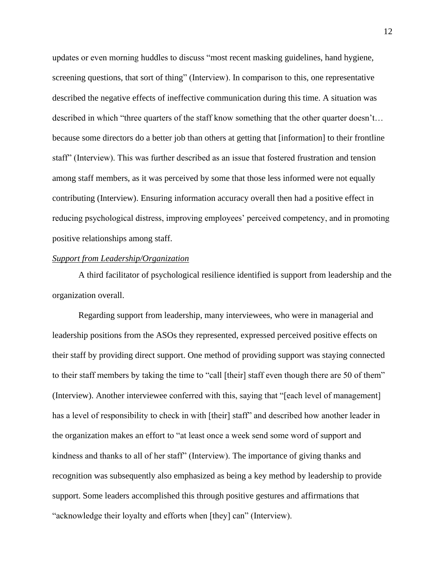updates or even morning huddles to discuss "most recent masking guidelines, hand hygiene, screening questions, that sort of thing" (Interview). In comparison to this, one representative described the negative effects of ineffective communication during this time. A situation was described in which "three quarters of the staff know something that the other quarter doesn't... because some directors do a better job than others at getting that [information] to their frontline staff" (Interview). This was further described as an issue that fostered frustration and tension among staff members, as it was perceived by some that those less informed were not equally contributing (Interview). Ensuring information accuracy overall then had a positive effect in reducing psychological distress, improving employees' perceived competency, and in promoting positive relationships among staff.

#### *Support from Leadership/Organization*

A third facilitator of psychological resilience identified is support from leadership and the organization overall.

Regarding support from leadership, many interviewees, who were in managerial and leadership positions from the ASOs they represented, expressed perceived positive effects on their staff by providing direct support. One method of providing support was staying connected to their staff members by taking the time to "call [their] staff even though there are 50 of them" (Interview). Another interviewee conferred with this, saying that "[each level of management] has a level of responsibility to check in with [their] staff" and described how another leader in the organization makes an effort to "at least once a week send some word of support and kindness and thanks to all of her staff" (Interview). The importance of giving thanks and recognition was subsequently also emphasized as being a key method by leadership to provide support. Some leaders accomplished this through positive gestures and affirmations that "acknowledge their loyalty and efforts when [they] can" (Interview).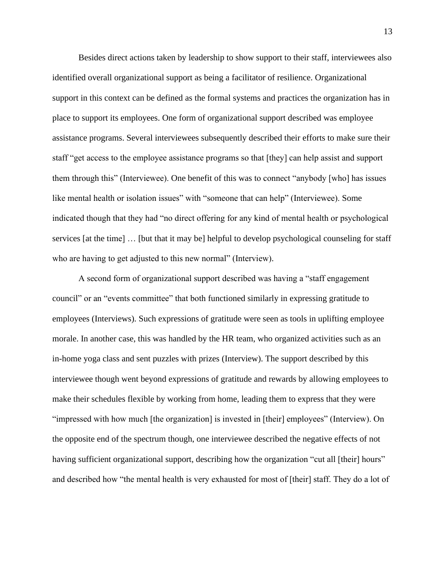Besides direct actions taken by leadership to show support to their staff, interviewees also identified overall organizational support as being a facilitator of resilience. Organizational support in this context can be defined as the formal systems and practices the organization has in place to support its employees. One form of organizational support described was employee assistance programs. Several interviewees subsequently described their efforts to make sure their staff "get access to the employee assistance programs so that [they] can help assist and support them through this" (Interviewee). One benefit of this was to connect "anybody [who] has issues like mental health or isolation issues" with "someone that can help" (Interviewee). Some indicated though that they had "no direct offering for any kind of mental health or psychological services [at the time] … [but that it may be] helpful to develop psychological counseling for staff who are having to get adjusted to this new normal" (Interview).

A second form of organizational support described was having a "staff engagement council" or an "events committee" that both functioned similarly in expressing gratitude to employees (Interviews). Such expressions of gratitude were seen as tools in uplifting employee morale. In another case, this was handled by the HR team, who organized activities such as an in-home yoga class and sent puzzles with prizes (Interview). The support described by this interviewee though went beyond expressions of gratitude and rewards by allowing employees to make their schedules flexible by working from home, leading them to express that they were "impressed with how much [the organization] is invested in [their] employees" (Interview). On the opposite end of the spectrum though, one interviewee described the negative effects of not having sufficient organizational support, describing how the organization "cut all [their] hours" and described how "the mental health is very exhausted for most of [their] staff. They do a lot of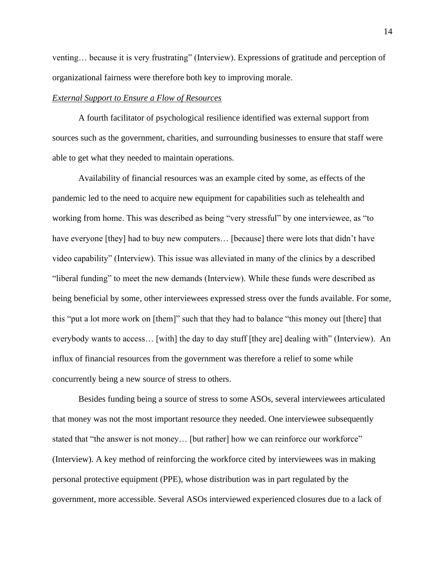venting… because it is very frustrating" (Interview). Expressions of gratitude and perception of organizational fairness were therefore both key to improving morale.

#### *External Support to Ensure a Flow of Resources*

A fourth facilitator of psychological resilience identified was external support from sources such as the government, charities, and surrounding businesses to ensure that staff were able to get what they needed to maintain operations.

Availability of financial resources was an example cited by some, as effects of the pandemic led to the need to acquire new equipment for capabilities such as telehealth and working from home. This was described as being "very stressful" by one interviewee, as "to have everyone [they] had to buy new computers... [because] there were lots that didn't have video capability" (Interview). This issue was alleviated in many of the clinics by a described "liberal funding" to meet the new demands (Interview). While these funds were described as being beneficial by some, other interviewees expressed stress over the funds available. For some, this "put a lot more work on [them]" such that they had to balance "this money out [there] that everybody wants to access… [with] the day to day stuff [they are] dealing with" (Interview). An influx of financial resources from the government was therefore a relief to some while concurrently being a new source of stress to others.

Besides funding being a source of stress to some ASOs, several interviewees articulated that money was not the most important resource they needed. One interviewee subsequently stated that "the answer is not money… [but rather] how we can reinforce our workforce" (Interview). A key method of reinforcing the workforce cited by interviewees was in making personal protective equipment (PPE), whose distribution was in part regulated by the government, more accessible. Several ASOs interviewed experienced closures due to a lack of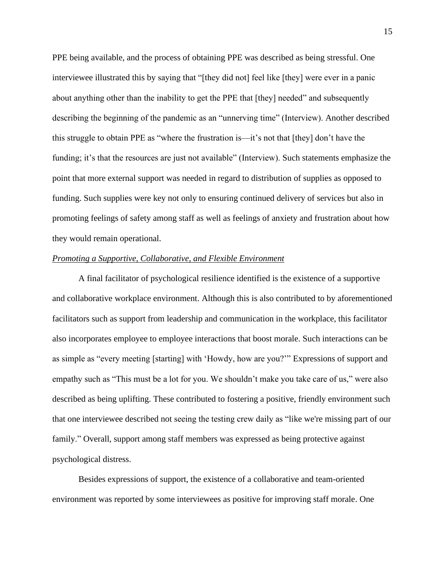PPE being available, and the process of obtaining PPE was described as being stressful. One interviewee illustrated this by saying that "[they did not] feel like [they] were ever in a panic about anything other than the inability to get the PPE that [they] needed" and subsequently describing the beginning of the pandemic as an "unnerving time" (Interview). Another described this struggle to obtain PPE as "where the frustration is—it's not that [they] don't have the funding; it's that the resources are just not available" (Interview). Such statements emphasize the point that more external support was needed in regard to distribution of supplies as opposed to funding. Such supplies were key not only to ensuring continued delivery of services but also in promoting feelings of safety among staff as well as feelings of anxiety and frustration about how they would remain operational.

#### *Promoting a Supportive, Collaborative, and Flexible Environment*

A final facilitator of psychological resilience identified is the existence of a supportive and collaborative workplace environment. Although this is also contributed to by aforementioned facilitators such as support from leadership and communication in the workplace, this facilitator also incorporates employee to employee interactions that boost morale. Such interactions can be as simple as "every meeting [starting] with 'Howdy, how are you?'" Expressions of support and empathy such as "This must be a lot for you. We shouldn't make you take care of us," were also described as being uplifting. These contributed to fostering a positive, friendly environment such that one interviewee described not seeing the testing crew daily as "like we're missing part of our family." Overall, support among staff members was expressed as being protective against psychological distress.

Besides expressions of support, the existence of a collaborative and team-oriented environment was reported by some interviewees as positive for improving staff morale. One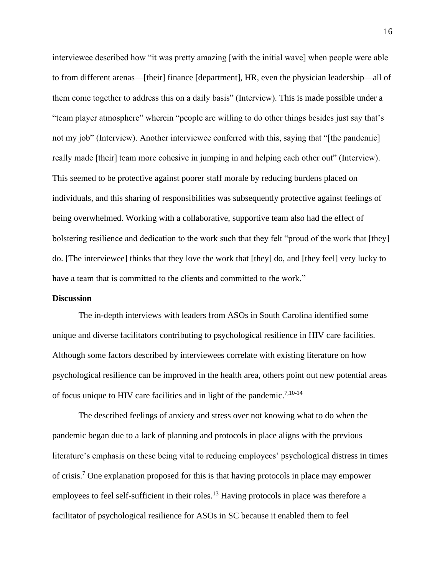interviewee described how "it was pretty amazing [with the initial wave] when people were able to from different arenas—[their] finance [department], HR, even the physician leadership—all of them come together to address this on a daily basis" (Interview). This is made possible under a "team player atmosphere" wherein "people are willing to do other things besides just say that's not my job" (Interview). Another interviewee conferred with this, saying that "[the pandemic] really made [their] team more cohesive in jumping in and helping each other out" (Interview). This seemed to be protective against poorer staff morale by reducing burdens placed on individuals, and this sharing of responsibilities was subsequently protective against feelings of being overwhelmed. Working with a collaborative, supportive team also had the effect of bolstering resilience and dedication to the work such that they felt "proud of the work that [they] do. [The interviewee] thinks that they love the work that [they] do, and [they feel] very lucky to have a team that is committed to the clients and committed to the work."

#### **Discussion**

The in-depth interviews with leaders from ASOs in South Carolina identified some unique and diverse facilitators contributing to psychological resilience in HIV care facilities. Although some factors described by interviewees correlate with existing literature on how psychological resilience can be improved in the health area, others point out new potential areas of focus unique to HIV care facilities and in light of the pandemic.<sup>7,10-14</sup>

The described feelings of anxiety and stress over not knowing what to do when the pandemic began due to a lack of planning and protocols in place aligns with the previous literature's emphasis on these being vital to reducing employees' psychological distress in times of crisis.<sup>7</sup> One explanation proposed for this is that having protocols in place may empower employees to feel self-sufficient in their roles.<sup>13</sup> Having protocols in place was therefore a facilitator of psychological resilience for ASOs in SC because it enabled them to feel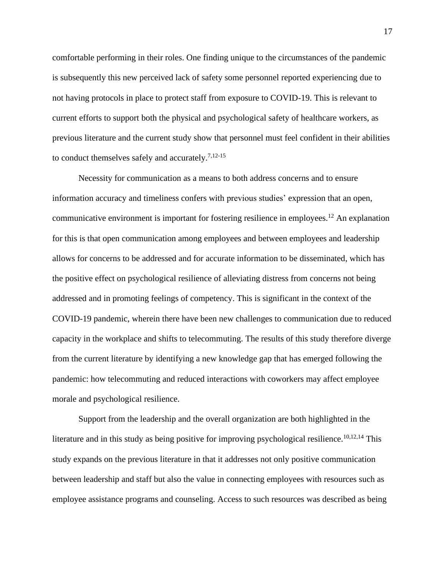comfortable performing in their roles. One finding unique to the circumstances of the pandemic is subsequently this new perceived lack of safety some personnel reported experiencing due to not having protocols in place to protect staff from exposure to COVID-19. This is relevant to current efforts to support both the physical and psychological safety of healthcare workers, as previous literature and the current study show that personnel must feel confident in their abilities to conduct themselves safely and accurately.<sup>7,12-15</sup>

Necessity for communication as a means to both address concerns and to ensure information accuracy and timeliness confers with previous studies' expression that an open, communicative environment is important for fostering resilience in employees.<sup>12</sup> An explanation for this is that open communication among employees and between employees and leadership allows for concerns to be addressed and for accurate information to be disseminated, which has the positive effect on psychological resilience of alleviating distress from concerns not being addressed and in promoting feelings of competency. This is significant in the context of the COVID-19 pandemic, wherein there have been new challenges to communication due to reduced capacity in the workplace and shifts to telecommuting. The results of this study therefore diverge from the current literature by identifying a new knowledge gap that has emerged following the pandemic: how telecommuting and reduced interactions with coworkers may affect employee morale and psychological resilience.

Support from the leadership and the overall organization are both highlighted in the literature and in this study as being positive for improving psychological resilience.<sup>10,12,14</sup> This study expands on the previous literature in that it addresses not only positive communication between leadership and staff but also the value in connecting employees with resources such as employee assistance programs and counseling. Access to such resources was described as being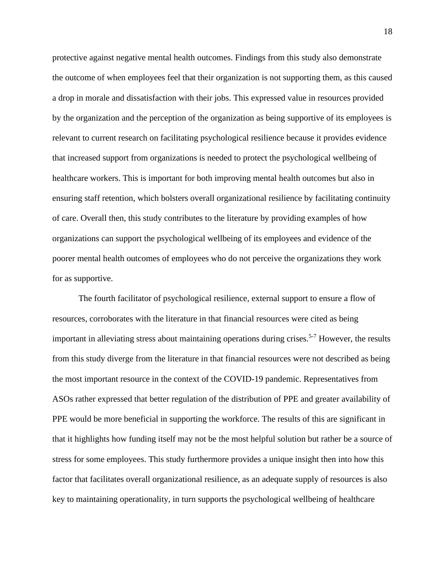protective against negative mental health outcomes. Findings from this study also demonstrate the outcome of when employees feel that their organization is not supporting them, as this caused a drop in morale and dissatisfaction with their jobs. This expressed value in resources provided by the organization and the perception of the organization as being supportive of its employees is relevant to current research on facilitating psychological resilience because it provides evidence that increased support from organizations is needed to protect the psychological wellbeing of healthcare workers. This is important for both improving mental health outcomes but also in ensuring staff retention, which bolsters overall organizational resilience by facilitating continuity of care. Overall then, this study contributes to the literature by providing examples of how organizations can support the psychological wellbeing of its employees and evidence of the poorer mental health outcomes of employees who do not perceive the organizations they work for as supportive.

The fourth facilitator of psychological resilience, external support to ensure a flow of resources, corroborates with the literature in that financial resources were cited as being important in alleviating stress about maintaining operations during crises.<sup>5-7</sup> However, the results from this study diverge from the literature in that financial resources were not described as being the most important resource in the context of the COVID-19 pandemic. Representatives from ASOs rather expressed that better regulation of the distribution of PPE and greater availability of PPE would be more beneficial in supporting the workforce. The results of this are significant in that it highlights how funding itself may not be the most helpful solution but rather be a source of stress for some employees. This study furthermore provides a unique insight then into how this factor that facilitates overall organizational resilience, as an adequate supply of resources is also key to maintaining operationality, in turn supports the psychological wellbeing of healthcare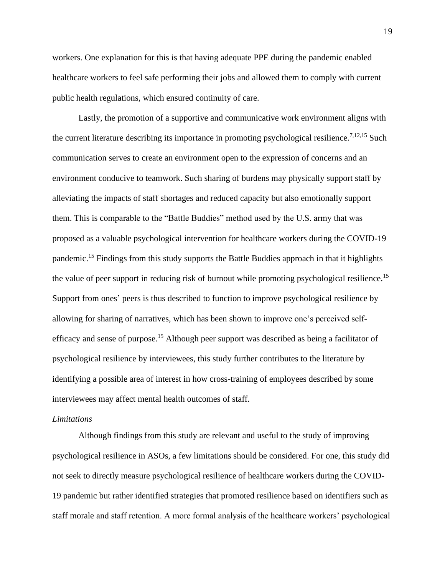workers. One explanation for this is that having adequate PPE during the pandemic enabled healthcare workers to feel safe performing their jobs and allowed them to comply with current public health regulations, which ensured continuity of care.

Lastly, the promotion of a supportive and communicative work environment aligns with the current literature describing its importance in promoting psychological resilience.<sup>7,12,15</sup> Such communication serves to create an environment open to the expression of concerns and an environment conducive to teamwork. Such sharing of burdens may physically support staff by alleviating the impacts of staff shortages and reduced capacity but also emotionally support them. This is comparable to the "Battle Buddies" method used by the U.S. army that was proposed as a valuable psychological intervention for healthcare workers during the COVID-19 pandemic.<sup>15</sup> Findings from this study supports the Battle Buddies approach in that it highlights the value of peer support in reducing risk of burnout while promoting psychological resilience.<sup>15</sup> Support from ones' peers is thus described to function to improve psychological resilience by allowing for sharing of narratives, which has been shown to improve one's perceived selfefficacy and sense of purpose.<sup>15</sup> Although peer support was described as being a facilitator of psychological resilience by interviewees, this study further contributes to the literature by identifying a possible area of interest in how cross-training of employees described by some interviewees may affect mental health outcomes of staff.

#### *Limitations*

Although findings from this study are relevant and useful to the study of improving psychological resilience in ASOs, a few limitations should be considered. For one, this study did not seek to directly measure psychological resilience of healthcare workers during the COVID-19 pandemic but rather identified strategies that promoted resilience based on identifiers such as staff morale and staff retention. A more formal analysis of the healthcare workers' psychological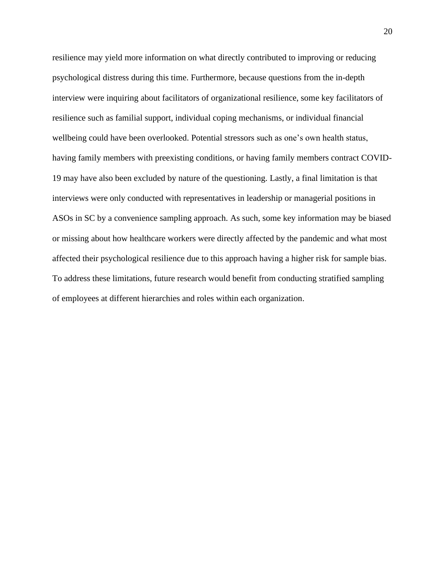resilience may yield more information on what directly contributed to improving or reducing psychological distress during this time. Furthermore, because questions from the in-depth interview were inquiring about facilitators of organizational resilience, some key facilitators of resilience such as familial support, individual coping mechanisms, or individual financial wellbeing could have been overlooked. Potential stressors such as one's own health status, having family members with preexisting conditions, or having family members contract COVID-19 may have also been excluded by nature of the questioning. Lastly, a final limitation is that interviews were only conducted with representatives in leadership or managerial positions in ASOs in SC by a convenience sampling approach. As such, some key information may be biased or missing about how healthcare workers were directly affected by the pandemic and what most affected their psychological resilience due to this approach having a higher risk for sample bias. To address these limitations, future research would benefit from conducting stratified sampling of employees at different hierarchies and roles within each organization.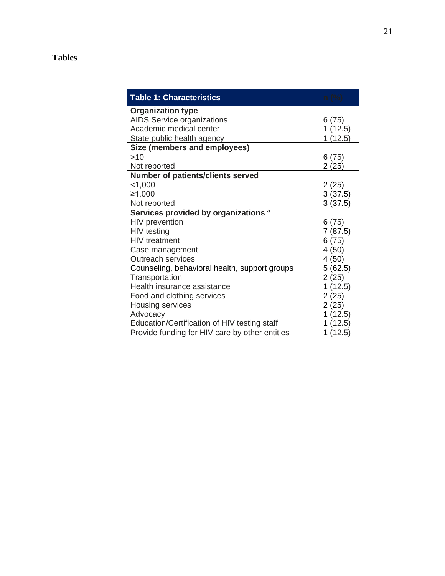# **Tables**

| <b>Table 1: Characteristics</b>                 | n (%)    |
|-------------------------------------------------|----------|
| <b>Organization type</b>                        |          |
| AIDS Service organizations                      | 6 (75)   |
| Academic medical center                         | 1(12.5)  |
| State public health agency                      | 1 (12.5) |
| Size (members and employees)                    |          |
| >10                                             | 6(75)    |
| Not reported                                    | 2(25)    |
| <b>Number of patients/clients served</b>        |          |
| $<$ 1,000                                       | 2(25)    |
| ≥1,000                                          | 3(37.5)  |
| Not reported                                    | 3(37.5)  |
| Services provided by organizations <sup>a</sup> |          |
| HIV prevention                                  | 6(75)    |
| HIV testing                                     | 7(87.5)  |
| <b>HIV</b> treatment                            | 6(75)    |
| Case management                                 | 4(50)    |
| <b>Outreach services</b>                        | 4(50)    |
| Counseling, behavioral health, support groups   | 5(62.5)  |
| Transportation                                  | 2(25)    |
| Health insurance assistance                     | 1(12.5)  |
| Food and clothing services                      | 2(25)    |
| Housing services                                | 2(25)    |
| Advocacy                                        | 1(12.5)  |
| Education/Certification of HIV testing staff    | 1(12.5)  |
| Provide funding for HIV care by other entities  | 1(12.5)  |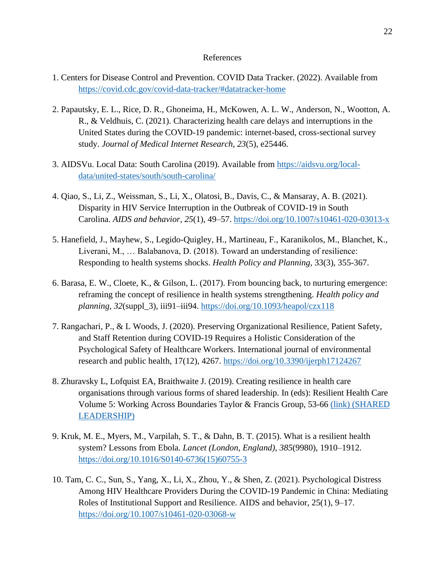#### References

- 1. Centers for Disease Control and Prevention. COVID Data Tracker. (2022). Available from <https://covid.cdc.gov/covid-data-tracker/#datatracker-home>
- 2. Papautsky, E. L., Rice, D. R., Ghoneima, H., McKowen, A. L. W., Anderson, N., Wootton, A. R., & Veldhuis, C. (2021). Characterizing health care delays and interruptions in the United States during the COVID-19 pandemic: internet-based, cross-sectional survey study. *Journal of Medical Internet Research*, *23*(5), e25446.
- 3. AIDSVu. Local Data: South Carolina (2019). Available from [https://aidsvu.org/local](https://aidsvu.org/local-data/united-states/south/south-carolina/)[data/united-states/south/south-carolina/](https://aidsvu.org/local-data/united-states/south/south-carolina/)
- 4. Qiao, S., Li, Z., Weissman, S., Li, X., Olatosi, B., Davis, C., & Mansaray, A. B. (2021). Disparity in HIV Service Interruption in the Outbreak of COVID-19 in South Carolina. *AIDS and behavior*, *25*(1), 49–57.<https://doi.org/10.1007/s10461-020-03013-x>
- 5. Hanefield, J., Mayhew, S., Legido-Quigley, H., Martineau, F., Karanikolos, M., Blanchet, K., Liverani, M., … Balabanova, D. (2018). Toward an understanding of resilience: Responding to health systems shocks. *Health Policy and Planning,* 33(3), 355-367.
- 6. Barasa, E. W., Cloete, K., & Gilson, L. (2017). From bouncing back, to nurturing emergence: reframing the concept of resilience in health systems strengthening. *Health policy and planning*, *32*(suppl\_3), iii91–iii94.<https://doi.org/10.1093/heapol/czx118>
- 7. Rangachari, P., & L Woods, J. (2020). Preserving Organizational Resilience, Patient Safety, and Staff Retention during COVID-19 Requires a Holistic Consideration of the Psychological Safety of Healthcare Workers. International journal of environmental research and public health, 17(12), 4267.<https://doi.org/10.3390/ijerph17124267>
- 8. Zhuravsky L, Lofquist EA, Braithwaite J. (2019). Creating resilience in health care organisations through various forms of shared leadership. In (eds): Resilient Health Care Volume 5: Working Across Boundaries Taylor & Francis Group, 53-66 [\(link\)](https://www.taylorfrancis.com/books/e/9780429274978) (SHARED LEADERSHIP)
- 9. Kruk, M. E., Myers, M., Varpilah, S. T., & Dahn, B. T. (2015). What is a resilient health system? Lessons from Ebola. *Lancet (London, England)*, *385*(9980), 1910–1912. [https://doi.org/10.1016/S0140-6736\(15\)60755-3](https://doi.org/10.1016/S0140-6736(15)60755-3)
- 10. Tam, C. C., Sun, S., Yang, X., Li, X., Zhou, Y., & Shen, Z. (2021). Psychological Distress Among HIV Healthcare Providers During the COVID-19 Pandemic in China: Mediating Roles of Institutional Support and Resilience. AIDS and behavior, 25(1), 9–17. <https://doi.org/10.1007/s10461-020-03068-w>